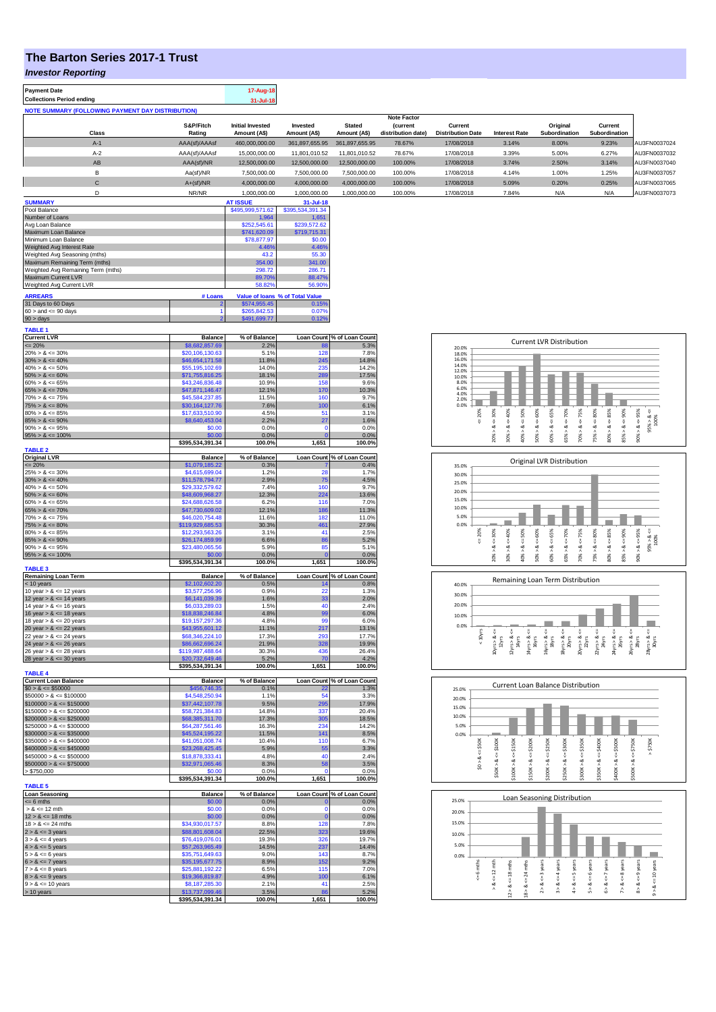## **The Barton Series 2017-1 Trust**

*Investor Reporting*

| <b>Investor Reporting</b>                                |                                     |                                                 |                               |                                    |                                |                          |                                                    |                                                                                |                                                                                                           |
|----------------------------------------------------------|-------------------------------------|-------------------------------------------------|-------------------------------|------------------------------------|--------------------------------|--------------------------|----------------------------------------------------|--------------------------------------------------------------------------------|-----------------------------------------------------------------------------------------------------------|
| <b>Payment Date</b><br><b>Collections Period ending</b>  |                                     | 17-Aug-18                                       |                               |                                    |                                |                          |                                                    |                                                                                |                                                                                                           |
| <b>NOTE SUMMARY (FOLLOWING PAYMENT DAY DISTRIBUTION)</b> |                                     | 31-Jul-18                                       |                               |                                    |                                |                          |                                                    |                                                                                |                                                                                                           |
|                                                          | S&P/Fitch                           | <b>Initial Invested</b>                         | Invested                      | <b>Stated</b>                      | <b>Note Factor</b><br>(current | Current                  |                                                    | Original                                                                       | Current                                                                                                   |
| Class                                                    | Rating                              | Amount (A\$)                                    | Amount (A\$)                  | Amount (A\$)                       | distribution date)             | <b>Distribution Date</b> | <b>Interest Rate</b>                               | Subordination                                                                  | Subordination                                                                                             |
| $A-1$                                                    | AAA(sf)/AAAsf                       | 460,000,000.00<br>15,000,000.00                 | 361,897,655.95                | 361,897,655.95                     | 78.67%                         | 17/08/2018               | 3.14%                                              | 8.00%                                                                          | 9.23%                                                                                                     |
| $A-2$                                                    | AAA(sf)/AAAsf                       |                                                 | 11,801,010.52                 | 11,801,010.52                      | 78.67%                         | 17/08/2018               | 3.39%                                              | 5.00%                                                                          | 6.27%                                                                                                     |
| AB                                                       | AAA(sf)/NR                          | 12,500,000.00                                   | 12,500,000.00                 | 12,500,000.00                      | 100.00%                        | 17/08/2018               | 3.74%                                              | 2.50%                                                                          | 3.14%                                                                                                     |
| в                                                        | Aa(sf)/NR                           | 7,500,000.00                                    | 7,500,000.00                  | 7,500,000.00                       | 100.00%                        | 17/08/2018               | 4.14%                                              | 1.00%                                                                          | 1.25%                                                                                                     |
| $\mathbf C$                                              | A+(sf)/NR                           | 4,000,000.00                                    | 4,000,000.00                  | 4,000,000.00                       | 100.00%                        | 17/08/2018               | 5.09%                                              | 0.20%                                                                          | 0.25%                                                                                                     |
| D                                                        | NR/NR                               | 1,000,000.00                                    | 1,000,000.00                  | 1,000,000.00                       | 100.00%                        | 17/08/2018               | 7.84%                                              | N/A                                                                            | N/A                                                                                                       |
| <b>SUMMARY</b><br>Pool Balance                           |                                     | <b>AT ISSUE</b><br>\$495,999,571.62             | 31-Jul-18<br>\$395,534,391.34 |                                    |                                |                          |                                                    |                                                                                |                                                                                                           |
| Number of Loans                                          |                                     | 1,964                                           | 1,651                         |                                    |                                |                          |                                                    |                                                                                |                                                                                                           |
| Avg Loan Balance                                         |                                     | \$252,545.61                                    | \$239,572.62                  |                                    |                                |                          |                                                    |                                                                                |                                                                                                           |
| Maximum Loan Balance<br>Minimum Loan Balance             |                                     | \$741,620.09                                    | \$719,715.31                  |                                    |                                |                          |                                                    |                                                                                |                                                                                                           |
| Weighted Avg Interest Rate                               |                                     | \$78,877.97<br>4.46%                            | \$0.00<br>4.46%               |                                    |                                |                          |                                                    |                                                                                |                                                                                                           |
| Weighted Avg Seasoning (mths)                            |                                     | 43.2                                            | 55.30                         |                                    |                                |                          |                                                    |                                                                                |                                                                                                           |
| Maximum Remaining Term (mths)                            |                                     | 354.00                                          | 341.00                        |                                    |                                |                          |                                                    |                                                                                |                                                                                                           |
| Weighted Avg Remaining Term (mths)                       |                                     | 298.72                                          | 286.71                        |                                    |                                |                          |                                                    |                                                                                |                                                                                                           |
| Maximum Current LVR<br>Weighted Avg Current LVR          |                                     | 89.70%<br>58.82%                                | 88.47%<br>56.90%              |                                    |                                |                          |                                                    |                                                                                |                                                                                                           |
|                                                          |                                     |                                                 |                               |                                    |                                |                          |                                                    |                                                                                |                                                                                                           |
| <b>ARREARS</b><br>31 Days to 60 Days                     | # Loans                             | Value of Ioans % of Total Value<br>\$574,955.45 | 0.15%                         |                                    |                                |                          |                                                    |                                                                                |                                                                                                           |
| $60 >$ and $\leq 90$ days                                |                                     | \$265,842.53                                    | 0.07%                         |                                    |                                |                          |                                                    |                                                                                |                                                                                                           |
| $90 > \text{days}$                                       |                                     | \$491,699.77                                    | 0.129                         |                                    |                                |                          |                                                    |                                                                                |                                                                                                           |
| <b>TABLE 1</b>                                           |                                     |                                                 |                               | Loan Count % of Loan Count         |                                |                          |                                                    |                                                                                |                                                                                                           |
| <b>Current LVR</b><br>$= 20%$                            | <b>Balance</b><br>\$8,682,857.69    | % of Balance<br>2.2%                            |                               | 5.3%                               |                                |                          |                                                    | <b>Current LVR Distribution</b>                                                |                                                                                                           |
| $20\% > 8 \le 30\%$                                      | \$20,106,130.63                     | 5.1%                                            | 128                           | 7.8%                               |                                | 20.0%<br>18.0%           |                                                    |                                                                                |                                                                                                           |
| $30\% > 8 \le 40\%$                                      | \$46,654,171.58                     | 11.8%                                           | 245                           | 14.8%                              |                                | 16.0%<br>14.0%           |                                                    |                                                                                |                                                                                                           |
| $40\% > 8 \le 50\%$                                      | \$55,195,102.69                     | 14.0%                                           | 235                           | 14.2%                              |                                | 12.0%                    |                                                    |                                                                                |                                                                                                           |
| $50\% > 8 \le 60\%$<br>$60\% > 8 \le 65\%$               | \$71,755,816.25<br>\$43,246,836.48  | 18.1%<br>10.9%                                  | 289<br>158                    | 17.5%<br>9.6%                      |                                | 10.0%<br>8.0%            |                                                    |                                                                                |                                                                                                           |
| $65\% > 8 \le 70\%$                                      | \$47,871,146.47                     | 12.1%                                           | 170                           | 10.3%                              |                                | 6.0%                     |                                                    |                                                                                |                                                                                                           |
| $70\% > 8 \le 75\%$                                      | \$45,584,237.85                     | 11.5%                                           | 160                           | 9.7%                               |                                | 4.0%<br>2.0%             |                                                    |                                                                                |                                                                                                           |
| $75\% > 8 \le 80\%$                                      | \$30,164,127.76                     | 7.6%                                            | 10                            | 6.1%                               |                                | 0.0%                     |                                                    |                                                                                |                                                                                                           |
| $80\% > 8 \le 85\%$                                      | \$17,633,510.90                     | 4.5%                                            | 51                            | 3.1%                               |                                | 20%                      | $4 = 30\%$<br>40%<br>$\epsilon$ 50%                | $4 = 60%$<br>$\epsilon = 65\%$<br>$4 = 70%$                                    | $4 = 85%$                                                                                                 |
| $85\% > 8 \le 90\%$<br>$90\% > 8 \le 95\%$               | \$8,640,453.04<br>\$0.00            | 2.2%<br>0.0%                                    | 27<br>-C                      | 1.6%<br>0.0%                       |                                | Ÿ.                       | ₩                                                  |                                                                                |                                                                                                           |
| $95\% > 8 \le 100\%$                                     | \$0.00                              | 0.0%                                            |                               | 0.0%                               |                                |                          | 20% > 8<br>$30\% > 8$<br>$\frac{8}{2}$<br>40%      | $70\% > 8 \Leftarrow 75\%$<br>$\frac{8}{2}$<br>$50\% > 8$<br>$60\% > 8$<br>65% | $85\% > 8 \Leftarrow 90\%$<br>$75\% > 8 \leq 80\%$<br>$\stackrel{\mathtt{ex}}{\scriptstyle\wedge}$<br>80% |
|                                                          | \$395,534,391.34                    | 100.0%                                          | 1,651                         | 100.0%                             |                                |                          |                                                    |                                                                                |                                                                                                           |
| <b>TABLE 2</b><br><b>Original LVR</b>                    | <b>Balance</b>                      | % of Balance                                    |                               | Loan Count % of Loan Count         |                                |                          |                                                    |                                                                                |                                                                                                           |
| <= 20%                                                   | \$1,079,185.22                      | 0.3%                                            |                               | 0.4%                               |                                | 35.0%                    |                                                    | Original LVR Distribution                                                      |                                                                                                           |
| $25\% > 8 \le 30\%$                                      | \$4,615,699.04                      | 1.2%                                            | 28                            | 1.7%                               |                                | 30.0%                    |                                                    |                                                                                |                                                                                                           |
| $30\% > 8 \le 40\%$<br>$40\% > 8 \le 50\%$               | \$11,578,794.77<br>\$29,332,579.62  | 2.9%<br>7.4%                                    | 75<br>160                     | 4.5%<br>9.7%                       |                                | 25.0%                    |                                                    |                                                                                |                                                                                                           |
| $50\% > 8 \le 60\%$                                      | \$48,609,968.27                     | 12.3%                                           | 224                           | 13.6%                              |                                | 20.0%                    |                                                    |                                                                                |                                                                                                           |
| $60\% > 8 \le 65\%$                                      | \$24,688,626.58                     | 6.2%                                            | 116                           | 7.0%                               |                                | 15.0%                    |                                                    |                                                                                |                                                                                                           |
| $65\% > 8 \le 70\%$                                      | \$47,730,609.02                     | 12.1%                                           | 18 <sub>l</sub>               | 11.3%                              |                                | 10.0%<br>5.0%            |                                                    |                                                                                |                                                                                                           |
| $70\% > 8 \le 75\%$<br>$75\% > 8 \le 80\%$               | \$46,020,754.48<br>\$119,929,685.53 | 11.6%<br>30.3%                                  | 18 <sub>2</sub><br>46         | 11.0%<br>27.9%                     |                                | 0.0%                     |                                                    |                                                                                |                                                                                                           |
| $80\% > 8 \le 85\%$                                      | \$12,293,563.26                     | 3.1%                                            | 41                            | 2.5%                               |                                | 20%                      | 40%<br>50%                                         | 60%<br>65%<br>70%                                                              |                                                                                                           |
| $85\% > 8 \le 90\%$                                      | \$26,174,859.99                     | 6.6%                                            | 86                            | 5.2%                               |                                | W                        | $4 = 30\%$<br>$\&$ <=                              | $<=75\%$<br>8 < 1<br>$<=$<br>$<=$                                              | $8 - 80%$<br>$<=85\%$                                                                                     |
| $90\% > 8 \le 95\%$                                      | \$23,480,065.56                     | 5.9%                                            | 85                            | 5.1%                               |                                |                          | ૐ<br>ø                                             |                                                                                | $85% > 8 < = 90%$                                                                                         |
| $95\% > 8 \le 100\%$                                     | \$0.00<br>\$395,534,391.34          | 0.0%<br>100.0%                                  | 1,651                         | 0.0%<br>100.0%                     |                                |                          | 20%<br>40% ><br>30%                                | 70% ><br>50% ><br>65% ><br>60%                                                 | $80\%$ $>$<br>75% >                                                                                       |
| <b>TABLE 3</b>                                           |                                     |                                                 |                               |                                    |                                |                          |                                                    |                                                                                |                                                                                                           |
| <b>Remaining Loan Term</b><br>< 10 years                 | <b>Balance</b><br>\$2,102,602.20    | % of Balance<br>0.5%                            |                               | Loan Count % of Loan Count<br>0.8% |                                | 40.0%                    |                                                    | Remaining Loan Term Distribution                                               |                                                                                                           |
| 10 year > & <= 12 years                                  | \$3,577,256.96                      | 0.9%                                            | 22                            | 1.3%                               |                                | 30.0%                    |                                                    |                                                                                |                                                                                                           |
| 12 year $> 8 \le 14$ years                               | \$6,141,039.39                      | 1.6%                                            | 33                            | 2.0%                               |                                |                          |                                                    |                                                                                |                                                                                                           |
| 14 year $> 8 \le 16$ years                               | \$6,033,289.03                      | 1.5%                                            | 40                            | 2.4%                               |                                | 20.0%                    |                                                    |                                                                                | <b>Contract</b>                                                                                           |
| 16 year $> 8 \le 18$ years<br>18 year $> 8 \le 20$ years | \$18,838,246.84<br>\$19,157,297.36  | 4.8%<br>4.8%                                    | 9<br>99                       | 6.0%<br>6.0%                       |                                | 10.0%                    |                                                    |                                                                                |                                                                                                           |
| 20 year $> 8 \le 22$ years                               | \$43,955,601.12                     | 11.1%                                           | 217                           | 13.1%                              |                                | 0.0%                     | ₩                                                  | ι,<br>Ű.                                                                       |                                                                                                           |
| 22 year $> 8 \le 24$ years                               | \$68,346,224.10                     | 17.3%                                           | 293                           | 17.7%                              |                                | $< 10$ yrs               |                                                    |                                                                                |                                                                                                           |
| 24 year $> 8 \le 26$ years<br>26 year $> 8 \le 28$ years | \$86,662,696.24<br>\$119,987,488.64 | 21.9%                                           | 32                            | 19.9%                              |                                |                          | $10yrs > 8s < = 12yrs$<br>$12yrs > 8s < =$ $14yrs$ | $18yrs > 8s < = 20yrs$<br>14yrs > 8 <<br>16yrs > 8.                            | 20yrs > & 8<br>$22yrs > 8.$<br>24yrs<br>26yrs > 8.<br>24yrs > 8                                           |
| 28 year > $8 \le 30$ years                               | \$20,732,649.46                     | 30.3%<br>5.2%                                   | 436<br>$\overline{7}$         | 26.4%<br>4.2%                      |                                |                          |                                                    |                                                                                |                                                                                                           |
|                                                          | \$395,534,391.34                    | 100.0%                                          | 1,651                         | 100.0%                             |                                |                          |                                                    |                                                                                |                                                                                                           |
| <b>TABLE 4</b><br><b>Current Loan Balance</b>            | <b>Balance</b>                      | % of Balance                                    |                               | Loan Count % of Loan Count         |                                |                          |                                                    |                                                                                |                                                                                                           |
| $$0 > 8 \le $50000$                                      | \$456,746.35                        | 0.1%                                            | 22                            | 1.3%                               |                                | 25.0%                    |                                                    | Current Loan Balance Distribution                                              |                                                                                                           |
| $$50000 > 8 \le $100000$                                 | \$4,548,250.94                      | 1.1%                                            | 54                            | 3.3%                               |                                | 20.0%                    |                                                    |                                                                                |                                                                                                           |
| $$100000 > 8 \le $150000$                                | \$37,442,107.78                     | 9.5%                                            | 295                           | 17.9%                              |                                | 15.0%                    |                                                    |                                                                                |                                                                                                           |
| $$150000 > 8 \le $200000$                                | \$58,721,384.83                     | 14.8%                                           | 337                           | 20.4%                              |                                | 10.0%                    |                                                    |                                                                                |                                                                                                           |
| $$200000 > 8 \le $250000$<br>$$250000 > 8 \le $300000$   | \$68,385,311.70<br>\$64,287,561.46  | 17.3%<br>16.3%                                  | 305<br>234                    | 18.5%<br>14.2%                     |                                | 5.0%                     |                                                    |                                                                                |                                                                                                           |
| $$300000 > 8 \leq $350000$                               | \$45,524,195.22                     | 11.5%                                           | 141                           | 8.5%                               |                                | 0.0%                     |                                                    |                                                                                |                                                                                                           |
| $$350000 > 8 \le $400000$                                | \$41,051,008.74                     | 10.4%                                           | 110                           | 6.7%                               |                                | \$50K                    | \$200K                                             | \$250K<br>\$300K<br>\$350K                                                     | \$400K<br>\$500K<br>\$750K                                                                                |
| $$400000 > 8 \le $450000$                                | \$23,268,425.45                     | 5.9%                                            | 5 <sub>5</sub>                | 3.3%                               |                                | v                        | $\leq$ \$100K<br>\$150K                            |                                                                                |                                                                                                           |
| $$450000 > 8 \le $500000$                                | \$18,878,333.41                     | 4.8%                                            | 40                            | 2.4%                               |                                | \$0 > 8                  | ₩<br>v<br>$\frac{8}{1}$                            | v<br>v<br>v<br>ँ                                                               | ₩<br>Ÿ,                                                                                                   |
| $$500000 > 8 \le $750000$<br>> \$750,000                 | \$32,971,065.46<br>\$0.00           | 8.3%<br>0.0%                                    | 58                            | 3.5%<br>0.0%                       |                                |                          | \$50K > 8<br>\$1000K > 8                           | \$300K > 8<br>\$250K > 8                                                       | 350K > 8<br>\$400K > 8                                                                                    |
|                                                          | \$395,534,391.34                    | 100.0%                                          | 1,651                         | 100.0%                             |                                |                          | \$150K                                             | \$200K                                                                         |                                                                                                           |
| <b>TABLE 5</b>                                           |                                     |                                                 |                               |                                    |                                |                          |                                                    |                                                                                |                                                                                                           |
| <b>Loan Seasoning</b><br>$= 6$ mths                      | <b>Balance</b><br>\$0.00            | % of Balance<br>0.0%                            |                               | Loan Count % of Loan Count<br>0.0% |                                | 25.0%                    |                                                    | Loan Seasoning Distribution                                                    |                                                                                                           |
| $> 8 \le 12$ mth                                         | \$0.00                              | 0.0%                                            |                               | 0.0%                               |                                | 20.0%                    |                                                    |                                                                                |                                                                                                           |
| $12 > 8 \le 18$ mths                                     | \$0.00                              | 0.0%                                            |                               | 0.0%                               |                                |                          |                                                    |                                                                                |                                                                                                           |

| \$999,994,991.94 | <b>IUU.U70</b> | 1.OJ I | <b>IUU.U70</b>             |
|------------------|----------------|--------|----------------------------|
|                  |                |        |                            |
| <b>Balance</b>   | % of Balance   |        | Loan Count % of Loan Count |
| \$0.00           | 0.0%           |        | 0.0%                       |
| \$0.00           | 0.0%           |        | 0.0%                       |
| \$0.00           | 0.0%           |        | 0.0%                       |
| \$34,930,017.57  | 8.8%           | 128    | 7.8%                       |
| \$88,801,608.04  | 22.5%          | 323    | 19.6%                      |
| \$76,419,076.01  | 19.3%          | 326    | 19.7%                      |
| \$57,263,965.49  | 14.5%          | 237    | 14.4%                      |
| \$35,751,649.63  | 9.0%           | 143    | 8.7%                       |
| \$35,195,677,75  | 8.9%           | 152    | 9.2%                       |
| \$25,881,192.22  | 6.5%           | 115    | 7.0%                       |
| \$19,366,819.87  | 4.9%           | 100    | 6.1%                       |
| \$8,187,285.30   | 2.1%           | 41     | 2.5%                       |
| \$13,737,099.46  | 3.5%           | 86     | 5.2%                       |
| \$395,534,391.34 | 100.0%         | 1,651  | 100.0%                     |
|                  |                |        |                            |

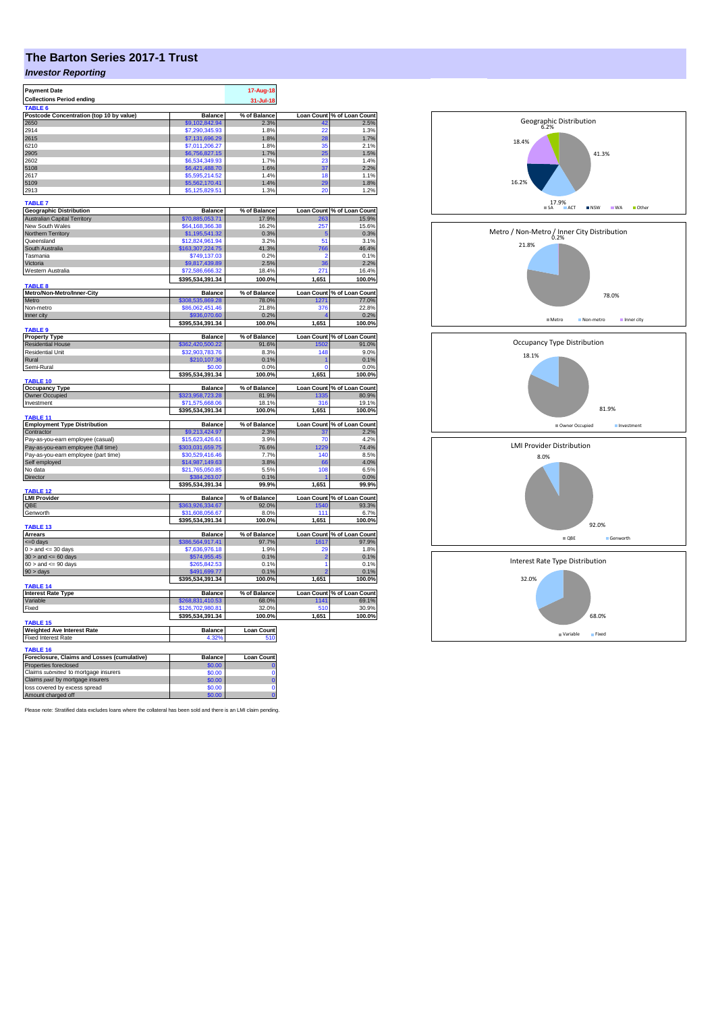## **The Barton Series 2017-1 Trust**

## *Investor Reporting*

| <b>Payment Date</b><br><b>Collections Period ending</b> |                                     | 17-Aug-18<br>31-Jul-18 |                   |                            |
|---------------------------------------------------------|-------------------------------------|------------------------|-------------------|----------------------------|
| TABLE 6                                                 |                                     |                        |                   |                            |
| Postcode Concentration (top 10 by value)                | <b>Balance</b>                      | % of Balance           | <b>Loan Count</b> | % of Loan Count            |
| 2650                                                    | \$9,102,842.94                      | 2.3%                   | 42                | 2.5%                       |
| 2914                                                    | \$7,290,345.93                      | 1.8%                   | 22                | 1.3%                       |
| 2615<br>6210                                            | \$7,131,696.29<br>\$7,011,206.27    | 1.8%<br>1.8%           | 28<br>35          | 1.7%<br>2.1%               |
| 2905                                                    | \$6,756,827.15                      | 1.7%                   | 25                | 1.5%                       |
| 2602                                                    | \$6,534,349.93                      | 1.7%                   | 23                | 1.4%                       |
| 5108                                                    | \$6,421,488.70                      | 1.6%                   | 37                | 2.2%                       |
| 2617                                                    | \$5,595,214.52                      | 1.4%                   | 18                | 1.1%                       |
| 5109                                                    | \$5,562,170.41                      | 1.4%                   | 29                | 1.8%                       |
| 2913                                                    | \$5,125,829.51                      | 1.3%                   | 20                | 1.2%                       |
| <b>TABLE 7</b>                                          |                                     |                        |                   |                            |
| <b>Geographic Distribution</b>                          | <b>Balance</b>                      | % of Balance           | <b>Loan Count</b> | % of Loan Count            |
| <b>Australian Capital Territory</b>                     | \$70,885,053.71                     | 17.9%                  | 263               | 15.9%                      |
| New South Wales                                         | \$64,168,366.38                     | 16.2%                  | 257               | 15.6%                      |
| Northern Territory                                      | \$1,195,541.32                      | 0.3%                   | 5                 | 0.3%                       |
| Queensland                                              | \$12,824,961.94                     | 3.2%                   | 51                | 3.1%                       |
| South Australia                                         | \$163,307,224.75                    | 41.3%                  | 766               | 46.4%                      |
| Tasmania                                                | \$749,137.03                        | 0.2%                   | ٥                 | 0.1%                       |
| Victoria                                                | \$9,817,439.89                      | 2.5%                   | 36                | 2.2%                       |
| Western Australia                                       | \$72,586,666.32<br>\$395,534,391.34 | 18.4%<br>100.0%        | 271<br>1,651      | 16.4%                      |
| <b>TABLE 8</b>                                          |                                     |                        |                   | 100.0%                     |
| Metro/Non-Metro/Inner-City                              | <b>Balance</b>                      | % of Balance           |                   | Loan Count % of Loan Count |
| Metro                                                   | \$308,535,869.28                    | 78.0%                  | 1271              | 77.0%                      |
| Non-metro                                               | \$86,062,451.46                     | 21.8%                  | 376               | 22.8%                      |
| Inner city                                              | \$936,070.60                        | 0.2%                   |                   | 0.2%                       |
| TABLE 9                                                 | \$395,534,391.34                    | 100.0%                 | 1,651             | 100.0%                     |
| <b>Property Type</b>                                    | Balance                             | % of Balance           |                   | Loan Count % of Loan Count |
| <b>Residential House</b>                                | \$362,420,500.22                    | 91.6%                  | 1502              | 91.0%                      |
| Residential Unit                                        | \$32,903,783.76                     | 8.3%                   | 148               | 9.0%                       |
| Rural                                                   | \$210,107.36                        | 0.1%                   |                   | 0.1%                       |
| Semi-Rural                                              | \$0.00                              | 0.0%                   | r                 | 0.0%                       |
| <b>TABLE 10</b>                                         | \$395,534,391.34                    | 100.0%                 | 1,651             | 100.0%                     |
| <b>Occupancy Type</b>                                   | <b>Balance</b>                      | % of Balance           |                   | Loan Count % of Loan Count |
| Owner Occupied                                          | \$323,958,723.28                    | 81.9%                  | 1335              | 80.9%                      |
| Investment                                              | \$71,575,668.06                     | 18.1%                  | 316               | 19.1%                      |
| TABLE 11                                                | \$395,534,391.34                    | 100.0%                 | 1,651             | 100.0%                     |
| <b>Employment Type Distribution</b>                     | <b>Balance</b>                      | % of Balance           |                   | Loan Count % of Loan Count |
| Contractor                                              | \$9,213,424.97                      | 2.3%                   | 37                | 2.2%                       |
| Pay-as-you-earn employee (casual)                       | \$15,623,426.61                     | 3.9%                   | 70                | 4.2%                       |
| Pay-as-you-earn employee (full time)                    | \$303,031,659.75                    | 76.6%                  | 1229              | 74.4%                      |
| Pay-as-you-earn employee (part time)                    | \$30,529,416.46                     | 7.7%                   | 140               | 8.5%                       |
| Self employed                                           | \$14,987,149.63                     | 3.8%                   | 66                | 4.0%                       |
| No data                                                 | \$21.765.050.85                     | 5.5%                   | 108               | 6.5%                       |
| Director                                                | \$384,263,07                        | 0.1%                   |                   | 0.0%                       |
| TABLE <sub>12</sub>                                     | \$395,534,391.34                    | 99.9%                  | 1,651             | 99.9%                      |
| <b>LMI Provider</b>                                     | <b>Balance</b>                      | % of Balance           |                   | Loan Count % of Loan Count |
| QBE                                                     | \$363,926,334.67                    | 92.0%                  | 1540              | 93.3%                      |
| Genworth                                                | 31,608,056.67<br>\$395,534,391.34   | 8.0%<br>100.0%         | 111<br>1,651      | 6.7%<br>100.0%             |
| TABLE 13                                                |                                     |                        |                   |                            |
| <b>Arrears</b>                                          | <b>Balance</b>                      | % of Balance           |                   | Loan Count % of Loan Count |
| <= 0 days                                               | \$386,564,917.41                    | 97.7%                  | 1617              | 97.9%                      |
| $0 >$ and $\leq$ 30 days                                | \$7,636,976.18                      | 1.9%                   | 29                | 1.8%                       |
| $30$ > and <= 60 days                                   | \$574,955.45                        | 0.1%                   | $\overline{2}$    | 0.1%                       |
| $60 >$ and $\leq 90$ days                               | \$265,842.53                        | 0.1%                   | 1                 | 0.1%                       |
| 90 > days                                               | \$491,699.77<br>\$395,534,391.34    | 0.1%<br>100.0%         | 1.651             | 0.1%<br>100.0%             |
| TABLE 14                                                |                                     |                        |                   |                            |
| <b>Interest Rate Type</b>                               | <b>Balance</b>                      | % of Balance           |                   | Loan Count % of Loan Count |
| Variable                                                | \$268,831,410.53                    | 68.0%                  | 1141              | 69.1%                      |
| Fixed                                                   | \$126,702,980.81                    | 32.0%                  | 510               | 30.9%                      |
| TABLE 15                                                | \$395,534,391.34                    | 100.0%                 | 1,651             | 100.0%                     |
| <b>Weighted Ave Interest Rate</b>                       | <b>Balance</b>                      | <b>Loan Count</b>      |                   |                            |
| <b>Fixed Interest Rate</b>                              | 4.32%                               | 510                    |                   |                            |
| TABLE 16                                                |                                     |                        |                   |                            |
| Foreclosure, Claims and Losses (cumulative)             | <b>Balance</b>                      | Loan Count             |                   |                            |
| Properties foreclosed                                   | \$0.00                              |                        |                   |                            |
| Claims submitted to mortgage insurers                   | \$0.00                              | $\Omega$               |                   |                            |
| Claims paid by mortgage insurers                        | \$0.00                              | $\overline{0}$         |                   |                            |
| loss covered by excess spread                           | \$0.00                              | Ō                      |                   |                            |
| Amount charged off                                      | \$0.00                              | $\overline{0}$         |                   |                            |

Please note: Stratified data excludes loans where the collateral has been sold and there is an LMI claim pending.